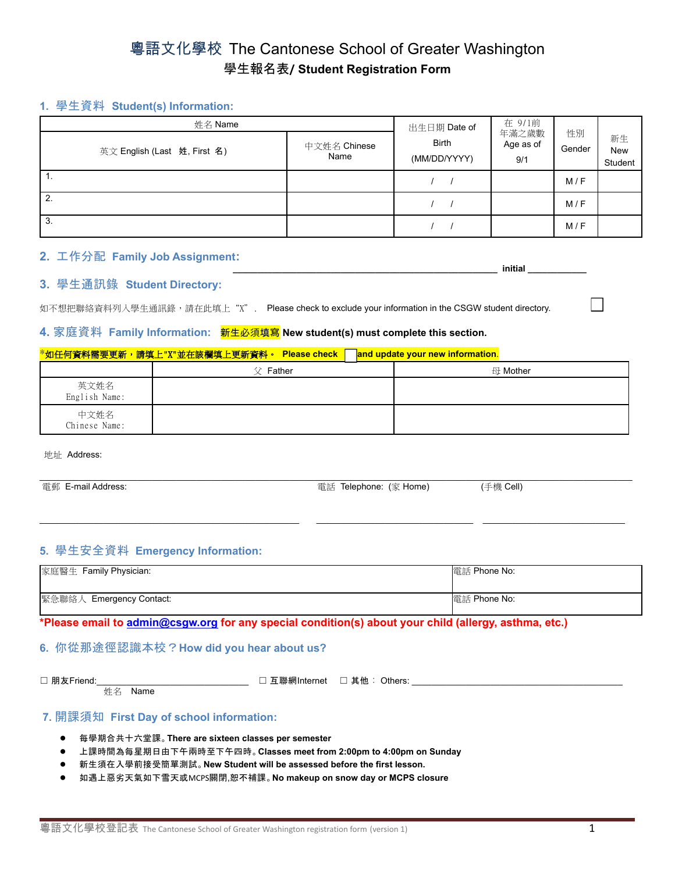# 粵語文化學校 The Cantonese School of Greater Washington 學生報名表**/ Student Registration Form**

# **1.** 學生資料 **Student(s) Information:**

| 姓名 Name                      | 出生日期 Date of         | 在 9/1前                                                    |  |              |                             |
|------------------------------|----------------------|-----------------------------------------------------------|--|--------------|-----------------------------|
| 英文 English (Last 姓, First 名) | 中文姓名 Chinese<br>Name | 年滿之歲數<br><b>Birth</b><br>Age as of<br>(MM/DD/YYYY)<br>9/1 |  | 性別<br>Gender | 新生<br><b>New</b><br>Student |
|                              |                      |                                                           |  | M/F          |                             |
| 2.                           |                      |                                                           |  | M/F          |                             |
| 3.                           |                      |                                                           |  | M/F          |                             |

# **2.** 工作分配 **Family Job Assignment:**

#### **\_\_\_\_\_\_\_\_\_\_\_\_\_\_\_\_\_\_\_\_\_\_\_\_\_\_\_\_\_\_\_\_\_\_\_\_\_\_\_\_\_\_\_\_\_\_\_\_\_\_\_\_\_\_ initial \_\_\_\_\_\_\_\_\_\_\_\_ 3.** 學生通訊錄 **Student Directory:**

如不想把聯絡資料列入學生通訊錄,請在此填上"X". Please check to exclude your information in the CSGW student directory.

#### **4.** 家庭資料 **Family Information:** 新生必須填寫 **New student(s) must complete this section.**

#### \*如任何資料需要更新,請填上"X"並在該欄填上更新資料。 **Please check and update your new information**.

|                       | $\Diamond$ Father | 母 Mother |
|-----------------------|-------------------|----------|
| 英文姓名<br>English Name: |                   |          |
| 中文姓名<br>Chinese Name: |                   |          |

地址 Address:

| 電郵 E-mail Address: | 電話 Telephone: (家 Home) | (手機 Cell) |  |
|--------------------|------------------------|-----------|--|
|                    |                        |           |  |
|                    |                        |           |  |

\_\_\_\_\_\_\_\_\_\_\_\_\_\_\_\_\_\_\_\_\_\_\_\_\_\_\_\_\_\_\_\_\_\_\_\_\_\_\_\_\_\_\_\_\_\_\_\_\_\_\_\_\_ \_\_\_\_\_\_\_\_\_\_\_\_\_\_\_\_\_\_\_\_\_\_\_\_\_\_\_\_\_\_\_\_ \_\_\_\_\_\_\_\_\_\_\_\_\_\_\_\_\_\_\_\_\_\_\_\_\_\_\_\_\_

# **5.** 學生安全資料 **Emergency Information:**

| 家庭醫生 Family Physician:   | 電話 Phone No: |
|--------------------------|--------------|
| 緊急聯絡人 Emergency Contact: | 電話 Phone No: |

**\*Please email to [admin@csgw.org](mailto:admin@csgw.org) for any special condition(s) about your child (allergy, asthma, etc.)**

# **6.** 你從那途徑認識本校?**How did you hear about us?**

☐ 朋友Friend:\_\_\_\_\_\_\_\_\_\_\_\_\_\_\_\_\_\_\_\_\_\_\_\_\_\_\_\_\_\_\_ ☐ 互聯網Internet ☐ 其他 : Others: \_\_\_\_\_\_\_\_\_\_\_\_\_\_\_\_\_\_\_\_\_\_\_\_\_\_\_\_\_\_\_\_\_\_\_\_\_\_\_\_\_\_\_ **姓名 Name** 

# **7.** 開課須知 **First Day of school information:**

- 每學期合共十六堂課。**There are sixteen classes per semester**
- 上課時間為每星期日由下午兩時至下午四時。**Classes meet from 2:00pm to 4:00pm on Sunday**
- 新生須在入學前接受簡單測試。**New Student will be assessed before the first lesson.**
- 如遇上惡劣天氣如下雪天或MCPS關閉,恕不補課。**No makeup on snow day or MCPS closure**

 $\Box$